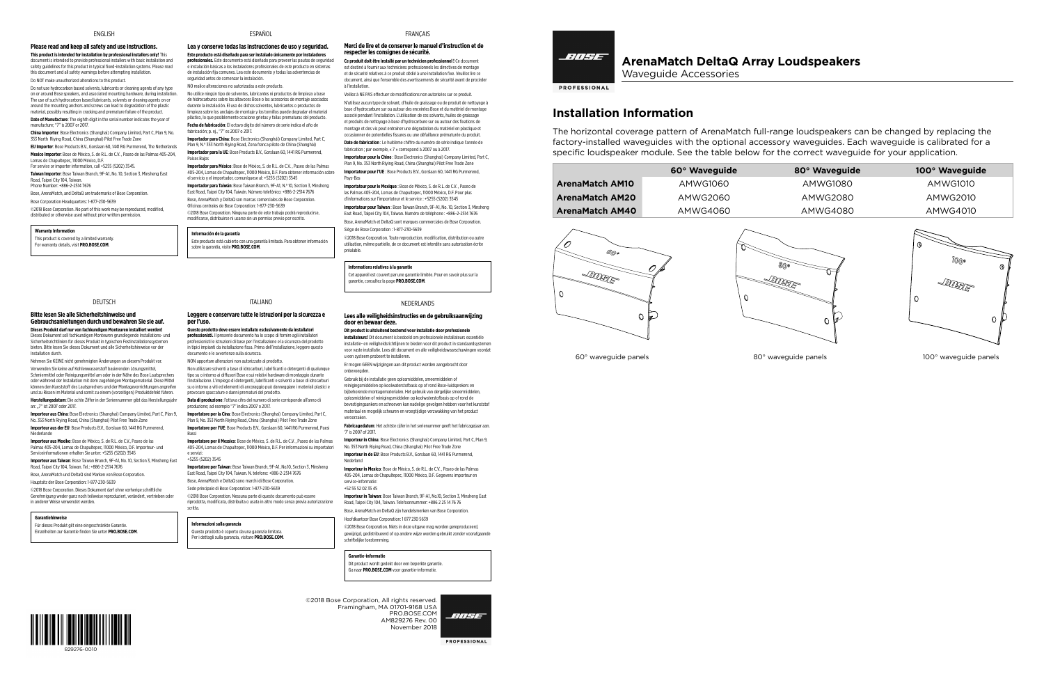# **ArenaMatch DeltaQ Array Loudspeakers** Waveguide Accessories

**PROFESSIONAL** 

# **Installation Information**

The horizontal coverage pattern of ArenaMatch full-range loudspeakers can be changed by replacing the factory-installed waveguides with the optional accessory waveguides. Each waveguide is calibrated for a specific loudspeaker module. See the table below for the correct waveguide for your application.

|                                                 | 60° Waveguide   | 80° Waveguide                          | 100° Waveguide                          |
|-------------------------------------------------|-----------------|----------------------------------------|-----------------------------------------|
| <b>ArenaMatch AM10</b>                          | <b>AMWG1060</b> | <b>AMWG1080</b>                        | <b>AMWG1010</b>                         |
| <b>ArenaMatch AM20</b>                          | <b>AMWG2060</b> | <b>AMWG2080</b>                        | <b>AMWG2010</b>                         |
| <b>ArenaMatch AM40</b>                          | AMWG4060        | AMWG4080                               | AMWG4010                                |
| <i>රිල</i> ං<br>$\triangle$ ENSE<br>$\mathbb O$ | 0<br>0          | 800<br>$\eta_{\mathcal{S}\gamma}$<br>O | O<br>1000<br>®<br><b>ROBE</b><br>0<br>0 |





60° waveguide panels 80° waveguide panels 100° waveguide panels

©2018 Bose Corporation, All rights reserved.

Framingham, MA 01701-9168 USA November 2018

BOSE

**PROFESSIONAL** 



PRO.BOSE.COM AM829276 Rev. 00

## ENGLISH

## **Please read and keep all safety and use instructions.**

**This product is intended for installation by professional installers only!** This document is intended to provide professional installers with basic installation and safety guidelines for this product in typical fixed-installation systems. Please read this document and all safety warnings before attempting installation. Do NOT make unauthorized alterations to this product.

Do not use hydrocarbon based solvents, lubricants or cleaning agents of any type on or around Bose speakers, and associated mounting hardware, during installation. The use of such hydrocarbon based lubricants, solvents or cleaning agents on or around the mounting anchors and screws can lead to degradation of the plastic material, possibly resulting in cracking and premature failure of the product.

Nehmen Sie KEINE nicht genehmigten Änderungen an diesem Produkt vor. Verwenden Sie keine auf Kohlenwasserstoff basierenden Lösungsmittel, Schmiermittel oder Reinigungsmittel am oder in der Nähe des Bose Lautsprechers oder während der Installation mit dem zugehörigen Montagematerial. Diese Mittel können den Kunststoff des Lautsprechers und der Montagevorrichtungen angreifen und zu Rissen im Material und somit zu einem (vorzeitigen) Produktdefekt führen. **Herstellungsdatum**: Die achte Ziffer in der Seriennummer gibt das Herstellungsjahr an: "7" ist 2007 oder 2017.

**Date of Manufacture**: The eighth digit in the serial number indicates the year of manufacture; "7" is 2007 or 2017.

**China Importer**: Bose Electronics (Shanghai) Company Limited, Part C, Plan 9, No. 353 North Riying Road, China (Shanghai) Pilot Free Trade Zone

**EU Importer**: Bose Products B.V., Gorslaan 60, 1441 RG Purmerend, The Netherlands **Mexico Importer**: Bose de México, S. de R.L. de C.V. , Paseo de las Palmas 405-204, Lomas de Chapultepec, 11000 México, D.F. For service or importer information, call +5255 (5202) 3545.

**Taiwan Importer**: Bose Taiwan Branch, 9F-A1, No. 10, Section 3, Minsheng East Road, Taipei City 104, Taiwan.

Phone Number: +886-2-2514 7676

Bose, ArenaMatch, and DeltaQ are trademarks of Bose Corporation. Bose Corporation Headquarters: 1-877-230-5639

©2018 Bose Corporation. No part of this work may be reproduced, modified, distributed or otherwise used without prior written permission.

### **Warranty Information**

This product is covered by a limited warranty. For warranty details, visit **PRO.BOSE.COM**.

### DEUTSCH

# **Bitte lesen Sie alle Sicherheitshinweise und Gebrauchsanleitungen durch und bewahren Sie sie auf.**

**Dieses Produkt darf nur von fachkundigen Monteuren installiert werden!** Dieses Dokument soll fachkundigen Monteuren grundlegende Installations- und Sicherheitsrichtlinien für dieses Produkt in typischen Festinstallationssystemen bieten. Bitte lesen Sie dieses Dokument und alle Sicherheitshinweise vor der Installation durch.

**Importeur aus China**: Bose Electronics (Shanghai) Company Limited, Part C, Plan 9, No. 353 North Riying Road, China (Shanghai) Pilot Free Trade Zone **Importeur aus der EU**: Bose Products B.V., Gorslaan 60, 1441 RG Purmerend,

Niederlande

**Importeur aus Mexiko**: Bose de México, S. de R.L. de C.V., Paseo de las Palmas 405-204, Lomas de Chapultepec, 11000 México, D.F. Importeur- und Serviceinformationen erhalten Sie unter: +5255 (5202) 3545

**Importeur aus Taiwan**: Bose Taiwan Branch, 9F-A1, No. 10, Section 3, Minsheng East Road, Taipei City 104, Taiwan. Tel.: +886-2-2514 7676

Bose, ArenaMatch und DeltaQ sind Marken von Bose Corporation.

Hauptsitz der Bose Corporation: 1-877-230-5639

©2018 Bose Corporation. Dieses Dokument darf ohne vorherige schriftliche

Genehmigung weder ganz noch teilweise reproduziert, verändert, vertrieben oder in anderer Weise verwendet werden.

#### **Garantiehinweise**

Für dieses Produkt gilt eine eingeschränkte Garantie. Einzelheiten zur Garantie finden Sie unter **PRO.BOSE.COM**.

# ESPAÑOL

**Lea y conserve todas las instrucciones de uso y seguridad. Este producto está diseñado para ser instalado únicamente por instaladores profesionales.** Este documento está diseñado para proveer las pautas de seguridad e instalación básicas a los instaladores profesionales de este producto en sistemas de instalación fija comunes. Lea este documento y todas las advertencias de seguridad antes de comenzar la instalación.

NO realice alteraciones no autorizadas a este producto.

No utilice ningún tipo de solventes, lubricantes ni productos de limpieza a base de hidrocarburos sobre los altavoces Bose o los accesorios de montaje asociados durante la instalación. El uso de dichos solventes, lubricantes o productos de limpieza sobre los anclajes de montaje y los tornillos puede degradar el material plástico, lo que posiblemente ocasione grietas y fallas prematuras del producto. **Fecha de fabricación**: El octavo dígito del número de serie indica el año de

fabricación; p. ej., "7" es 2007 o 2017. **Importador para China**: Bose Electronics (Shanghái) Company Limited, Part C,

Plan 9, N.º 353 North Riying Road, Zona franca piloto de China (Shanghái) **Importador para la UE**: Bose Products B.V., Gorslaan 60, 1441 RG Purmerend, Países Bajos

**Importador para México**: Bose de México, S. de R.L. de C.V. , Paseo de las Palmas 405-204, Lomas de Chapultepec, 11000 México, D.F. Para obtener información sobre el servicio y el importador, comuníquese al: +5255 (5202) 3545

> **Importeur in China**: Bose Electronics (Shanghai) Company Limited, Part C, Plan 9, No. 353 North Riying Road, China (Shanghai) Pilot Free Trade Zone **Importeur in de EU**: Bose Products B.V., Gorslaan 60, 1441 RG Purmerend, Nederland

**Importador para Taiwán**: Bose Taiwan Branch, 9F-A1, N.º 10, Section 3, Minsheng East Road, Taipei City 104, Taiwán. Número telefónico: +886-2-2514 7676

Bose, ArenaMatch y DeltaQ son marcas comerciales de Bose Corporation. Oficinas centrales de Bose Corporation: 1-877-230-5639 ©2018 Bose Corporation. Ninguna parte de este trabajo podrá reproducirse,

modificarse, distribuirse ni usarse sin un permiso previo por escrito.

# **Información de la garantía**

Este producto está cubierto con una garantía limitada. Para obtener información sobre la garantía, visite **PRO.BOSE.COM**.

# ITALIANO

### **Leggere e conservare tutte le istruzioni per la sicurezza e per l'uso.**

**Questo prodotto deve essere installato esclusivamente da installatori professionisti.** Il presente documento ha lo scopo di fornire agli installatori professionisti le istruzioni di base per l'installazione e la sicurezza del prodotto in tipici impianti da installazione fissa. Prima dell'installazione, leggere questo documento e le avvertenze sulla sicurezza. NON apportare alterazioni non autorizzate al prodotto.

Non utilizzare solventi a base di idrocarburi, lubrificanti o detergenti di qualunque tipo su o intorno ai diffusori Bose e sui relativi hardware di montaggio durante l'installazione. L'impiego di detergenti, lubrificanti e solventi a base di idrocarburi su o intorno a viti ed elementi di ancoraggio può danneggiare i materiali plastici e provocare spaccature e danni prematuri del prodotto.

**Data di produzione**: l'ottava cifra del numero di serie corrisponde all'anno di produzione; ad esempio "7" indica 2007 o 2017.

**Importatore per la Cina**: Bose Electronics (Shanghai) Company Limited, Part C, Plan 9, No. 353 North Riying Road, China (Shanghai) Pilot Free Trade Zone **Importatore per l'UE**: Bose Products B.V., Gorslaan 60, 1441 RG Purmerend, Paesi

Bassi **Importatore per il Messico**: Bose de México, S. de R.L. de C.V. , Paseo de las Palmas 405-204, Lomas de Chapultepec, 11000 México, D.F. Per informazioni su importatori e servizi:

+5255 (5202) 3545

**Importatore per Taiwan**: Bose Taiwan Branch, 9F-A1, No.10, Section 3, Minsheng East Road, Taipei City 104, Taiwan. N. telefono: +886-2-2514 7676 Bose, ArenaMatch e DeltaQ sono marchi di Bose Corporation. Sede principale di Bose Corporation: 1-877-230-5639 ©2018 Bose Corporation. Nessuna parte di questo documento può essere riprodotta, modificata, distribuita o usata in altro modo senza previa autorizzazione

scritta.

# **Informazioni sulla garanzia**

Questo prodotto è coperto da una garanzia limitata. Per i dettagli sulla garanzia, visitare **PRO.BOSE.COM**.

# **Merci de lire et de conserver le manuel d'instruction et de respecter les consignes de sécurité.**

**FRANCAIS** 

**Ce produit doit être installé par un technicien professionnel !** Ce document est destiné à fournir aux techniciens professionnels les directives de montage et de sécurité relatives à ce produit dédié à une installation fixe. Veuillez lire ce document, ainsi que l'ensemble des avertissements de sécurité avant de procéder à l'installation.

Veillez à NE PAS effectuer de modifications non autorisées sur ce produit. N'utilisez aucun type de solvant, d'huile de graissage ou de produit de nettoyage à

base d'hydrocarbure sur ou autour des enceintes Bose et du matériel de montage associé pendant l'installation. L'utilisation de ces solvants, huiles de graissage et produits de nettoyage à base d'hydrocarbure sur ou autour des fixations de montage et des vis peut entraîner une dégradation du matériel en plastique et occasionner de potentielles fissures ou une défaillance prématurée du produit. **Date de fabrication** : Le huitième chiffre du numéro de série indique l'année de fabrication ; par exemple, « 7 » correspond à 2007 ou à 2017.

**Importateur pour la Chine** : Bose Electronics (Shanghai) Company Limited, Part C, Plan 9, No. 353 North Riying Road, China (Shanghai) Pilot Free Trade Zone **Importateur pour l'UE** : Bose Products B.V., Gorslaan 60, 1441 RG Purmerend, Pays-Bas

**Importateur pour le Mexique** : Bose de México, S. de R.L. de C.V. , Paseo de las Palmas 405-204, Lomas de Chapultepec, 11000 México, D.F. Pour plus d'informations sur l'importateur et le service : +5255 (5202) 3545

**Importateur pour Taïwan** : Bose Taiwan Branch, 9F-A1, No. 10, Section 3, Minsheng East Road, Taipei City 104, Taïwan. Numéro de téléphone : +886-2-2514 7676 Bose, ArenaMatch et DeltaQ sont marques commerciales de Bose Corporation. Siège de Bose Corporation : 1-877-230-5639

©2018 Bose Corporation. Toute reproduction, modification, distribution ou autre utilisation, même partielle, de ce document est interdite sans autorisation écrite préalable.

# **Informations relatives à la garantie**

Cet appareil est couvert par une garantie limitée. Pour en savoir plus sur la garantie, consultez la page **PRO.BOSE.COM**.

## NEDERLANDS

## **Lees alle veiligheidsinstructies en de gebruiksaanwijzing door en bewaar deze.**

**Dit product is uitsluitend bestemd voor installatie door professionele installateurs!** Dit document is bedoeld om professionele installateurs essentiële installatie- en veiligheidsrichtlijnen te bieden voor dit product in standaardsystemen voor vaste installatie. Lees dit document en alle veiligheidswaarschuwingen voordat u een systeem probeert te installeren.

Er mogen GEEN wijzigingen aan dit product worden aangebracht door onbevoegden.

Gebruik bij de installatie geen oplosmiddelen, smeermiddelen of reinigingsmiddelen op koolwaterstofbasis op of rond Bose-luidsprekers en bijbehorende montagematerialen. Het gebruik van dergelijke smeermiddelen, oplosmiddelen of reinigingsmiddelen op koolwaterstofbasis op of rond de bevestigingsankers en schroeven kan nadelige gevolgen hebben voor het kunststof materiaal en mogelijk scheuren en vroegtijdige verzwakking van het product veroorzaken.

**Fabricagedatum**: Het achtste cijfer in het serienummer geeft het fabricagejaar aan. '7' is 2007 of 2017.

**Importeur in Mexico**: Bose de México, S. de R.L. de C.V. , Paseo de las Palmas 405-204, Lomas de Chapultepec, 11000 México, D.F. Gegevens importeur en service-informatie:

+52 55 52 02 35 45 **Importeur in Taiwan**: Bose Taiwan Branch, 9F-A1, No.10, Section 3, Minsheng East

Road, Taipei City 104, Taiwan. Telefoonnummer: +886 2 25 14 76 76 Bose, ArenaMatch en DeltaQ zijn handelsmerken van Bose Corporation. Hoofdkantoor Bose Corporation: 1 877 230 5639

©2018 Bose Corporation. Niets in deze uitgave mag worden gereproduceerd, gewijzigd, gedistribueerd of op andere wijze worden gebruikt zonder voorafgaande schriftelijke toestemming.

#### **Garantie-informatie**

Dit product wordt gedekt door een beperkte garantie. Ga naar **PRO.BOSE.COM** voor garantie-informatie.